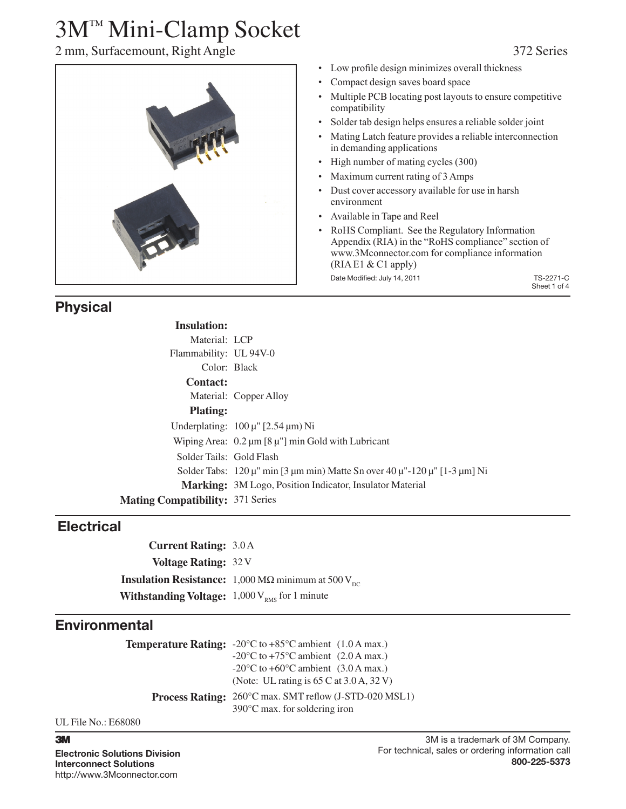## 2 mm, Surfacemount, Right Angle 372 Series



### Low profile design minimizes overall thickness

- Compact design saves board space
- Multiple PCB locating post layouts to ensure competitive compatibility
- Solder tab design helps ensures a reliable solder joint
- Mating Latch feature provides a reliable interconnection in demanding applications
- High number of mating cycles (300)
- Maximum current rating of 3 Amps
- Dust cover accessory available for use in harsh environment
- • Available in Tape and Reel
- • RoHS Compliant. See the Regulatory Information Appendix (RIA) in the "RoHS compliance" section of www.3Mconnector.com for compliance information (RIA E1 & C1 apply) Date Modified: July 14, 2011 TS-2271-C

Sheet 1 of 4

## **Physical**

| <b>Insulation:</b>                      |                                                                                                                                            |
|-----------------------------------------|--------------------------------------------------------------------------------------------------------------------------------------------|
| Material: LCP                           |                                                                                                                                            |
| Flammability: UL 94V-0                  |                                                                                                                                            |
| Color: Black                            |                                                                                                                                            |
| <b>Contact:</b>                         |                                                                                                                                            |
|                                         | Material: Copper Alloy                                                                                                                     |
| <b>Plating:</b>                         |                                                                                                                                            |
|                                         | Underplating: $100 \mu$ " [2.54 $\mu$ m) Ni                                                                                                |
|                                         | Wiping Area: $0.2 \mu m$ [8 $\mu$ "] min Gold with Lubricant                                                                               |
| Solder Tails: Gold Flash                |                                                                                                                                            |
|                                         | Solder Tabs: $120 \mu^{\prime\prime}$ min [3 $\mu$ m min) Matte Sn over 40 $\mu^{\prime\prime}$ -120 $\mu^{\prime\prime}$ [1-3 $\mu$ m] Ni |
|                                         | Marking: 3M Logo, Position Indicator, Insulator Material                                                                                   |
| <b>Mating Compatibility: 371 Series</b> |                                                                                                                                            |

### **Electrical**

**Current Rating:** 3.0 A **Voltage Rating:** 32 V **Insulation Resistance:** 1,000 M $\Omega$  minimum at 500 V<sub>DC</sub> **Withstanding Voltage:** 1,000 V<sub>RMS</sub> for 1 minute

### **Environmental**

| <b>Temperature Rating:</b> $-20^{\circ}\text{C}$ to $+85^{\circ}\text{C}$ ambient (1.0 A max.)           |
|----------------------------------------------------------------------------------------------------------|
| $-20^{\circ}$ C to $+75^{\circ}$ C ambient (2.0 A max.)                                                  |
| $-20^{\circ}$ C to $+60^{\circ}$ C ambient (3.0 A max.)                                                  |
| (Note: UL rating is $65 \text{ C}$ at $3.0 \text{ A}$ , $32 \text{ V}$ )                                 |
| <b>Process Rating:</b> 260°C max. SMT reflow (J-STD-020 MSL1)<br>$390^{\circ}$ C max. for soldering iron |

UL File No.: E68080

### 3

**Electronic Solutions Division Interconnect Solutions** http://www.3Mconnector.com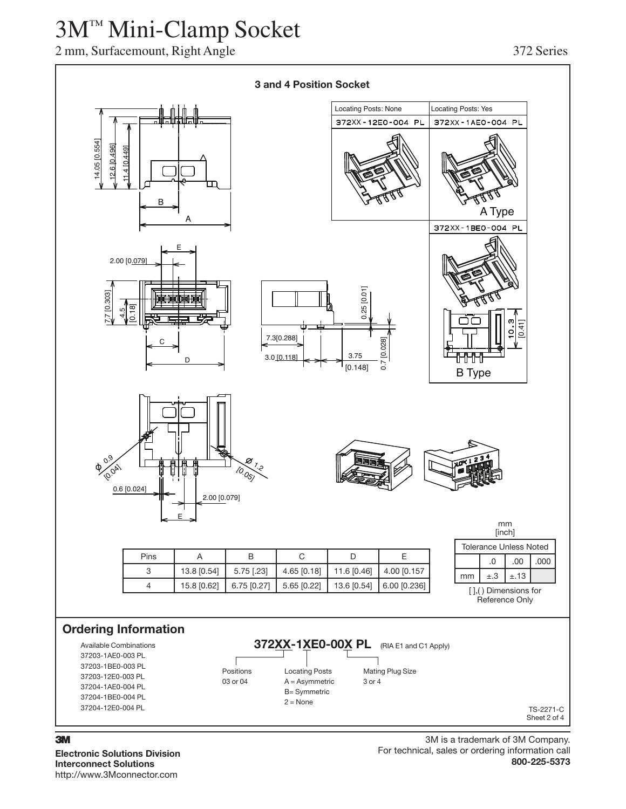## 2 mm, Surfacemount, Right Angle 372 Series



**Electronic Solutions Division Interconnect Solutions** http://www.3Mconnector.com

### 3M is a trademark of 3M Company. For technical, sales or ordering information call **800-225-5373**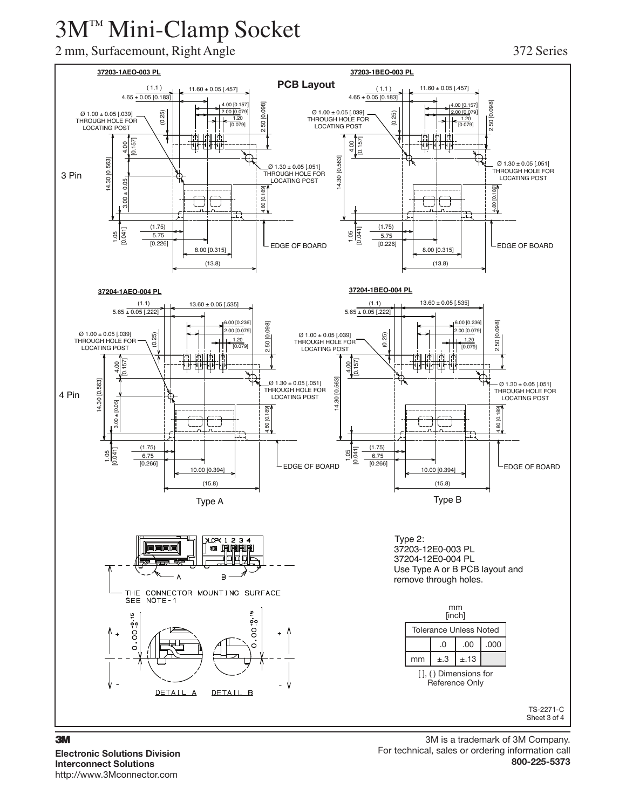## 2 mm, Surfacemount, Right Angle 372 Series

### **37203-1AEO-003 PL 37203-1BEO-003 PL PCB Layout**( 1.1 )  $(1.1)$  11.60 ± 0.05 [.457] 11.60 ± 0.05 [.457]  $4.65 \pm 0.05 [0.183]$  $4.65 \pm 0.05$  [0.183] 4.00 [0.157] 0981  $.00$   $[0.15]$ 2.50 [0.098] 2.50 [0.098] 2.50 [0.098] (0.25) 2.00 [0.079] (0.25) 2.00 [0.079  $\varnothing$  1.00 ± 0.05 [.039] Ø 1.00 ± 0.05 [.039] THROUGH HOLE FOR 50 [0. THROUGH HOLE FOR <u>1.2</u>0<br>[0.079] 1.20 LOCATING POST [0.079] LOCATING POST 雨 ∏तै  $\frac{5}{2}$ 4.00 [0.157]  $\frac{8}{1}$ 14.30 [0.563] 14.30 [0.563] 14.30 [0.563] 14.30 [0.563]  $\varnothing$  1.30 ± 0.05 [.051] Ø 1.30 ± 0.05 [.051] THROUGH HOLE FOR 3 Pin THROUGH HOLE FOR LOCATING POST LOCATING POST  $0.05$ 3.00 ± 0.05  $\frac{4.80}{5}$  [0.189] 4.80 [0.189] 4.80 [0.189]  $3.00$ 80 [0. J٦,  $\mathbf{r}_-$ (1.75) (1.75) <u>है।</u><br>इंडि  $\frac{1}{2}$  $\frac{1}{2}$  $\frac{1}{2}$ 5.75 5.75 [0.226] EDGE OF BOARD [0.226] LEDGE OF BOARD 8.00 [0.315] 8.00 [0.315] (13.8) (13.8) **37204-1AEO-004 PL 37204-1BEO-004 PL**  $(1.1)$  13.60 ± 0.05 [.535] (1.1)  $13.60 \pm 0.05$  [.535]  $5.65 \pm 0.05$  [.222]  $5.65 \pm 0.05$  [.222] 6.00 [0.236 6.00 [0.236] **1981** 2.50 [0.098] 2.50 [0.098] 2.50 [0.098] 2.00 [0.079] 2.00 [0.079]  $\emptyset$  1.00  $\pm$  0.05 [.039] .50 [0.0  $\emptyset$  1.00 ± 0.05 [.039] (0.25) (0.25) THROUGH HOLE FOR 1.20 1.20 THROUGH HOLE FOR LOCATING POST  $(0.079)$  $\sqrt[7]{0.0791}$ LOCATING POST  $[0.157]$ [0.157] 4.00  $[0.041]$   $[3.00 \pm 0.05]$   $[1.000 + 0.00]$ पर पर 怬 Ш 뺘  $[0.563]$ 14.30 [0.563] 14.30 [0.563]  $\varnothing$  1.30 ± 0.05 [.051] 14.30 [0.563] Ø 1.30 ± 0.05 [.051] THROUGH HOLE FOR THROUGH HOLE FOR 4 Pin LOCATING POST LOCATING POST 14.30  $: 10.05$ 3.00 ± [0.05] 18QT 4.80 [0.189]  $[0.189]$ 4.80 [0.189]  $\overline{2}$ Š - 1  $1.80$  $4.80$ (1.75) (1.75)  $\frac{1.05}{0.041}$ 1.05 [0.041] 6.75 6.75  $[0.266]$  $[0.266]$ EDGE OF BOARD EDGE OF BOARD 10.00 [0.394] **10.00 [0.394]** 10.00 **10.394]** (15.8) (15.8) Type A Type B Type 2: XLOP(1234 **300 BRIBRIBRI** 37203-12E0-003 PL 司国国国 37204-12E0-004 PL Use Type A or B PCB layout and  $\Delta$  $\overline{R}$ remove through holes. **THE** CONNECTOR MOUNTING SURFACE SEE NOTE-1 mm [inch] စ္စစ္  $00^{+0.1}_{-0.1}$ Tolerance Unless Noted  $\overline{8}$  $.00$   $.000$   $.000$  $\circ$  $\overline{\circ}$ mm  $\pm .3$   $\pm .13$ [ ], ( ) Dimensions for Reference Only DETAIL A DETAIL B TS-2271-C Sheet 3 of 4

**Electronic Solutions Division Interconnect Solutions** http://www.3Mconnector.com

3M is a trademark of 3M Company. For technical, sales or ordering information call **800-225-5373**